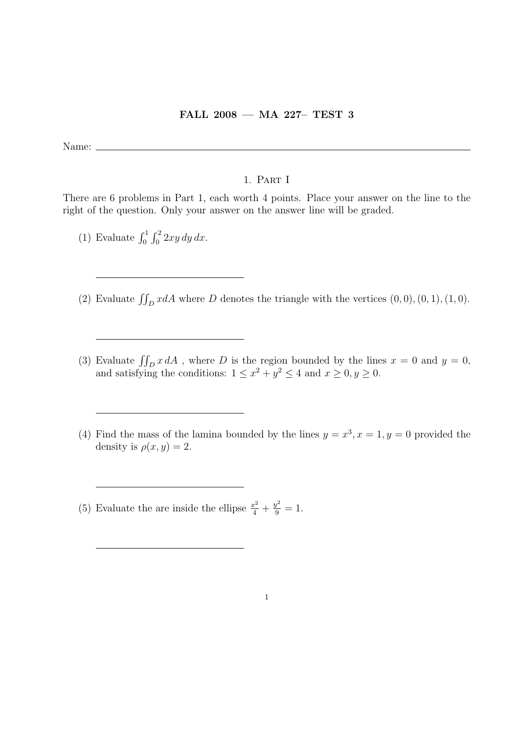## FALL 2008 — MA 227– TEST 3

Name:  $\equiv$ 

## 1. Part I

There are 6 problems in Part 1, each worth 4 points. Place your answer on the line to the right of the question. Only your answer on the answer line will be graded.

- (1) Evaluate  $\int_0^1 \int_0^2 2xy \, dy \, dx$ .
- (2) Evaluate  $\iint_D x dA$  where D denotes the triangle with the vertices  $(0, 0), (0, 1), (1, 0)$ .
- (3) Evaluate  $\iint_D x dA$ , where D is the region bounded by the lines  $x = 0$  and  $y = 0$ , and satisfying the conditions:  $1 \leq x^2 + y^2 \leq 4$  and  $x \geq 0, y \geq 0$ .
- (4) Find the mass of the lamina bounded by the lines  $y = x^3, x = 1, y = 0$  provided the density is  $\rho(x, y) = 2$ .

(5) Evaluate the are inside the ellipse  $\frac{x^2}{4} + \frac{y^2}{9} = 1$ .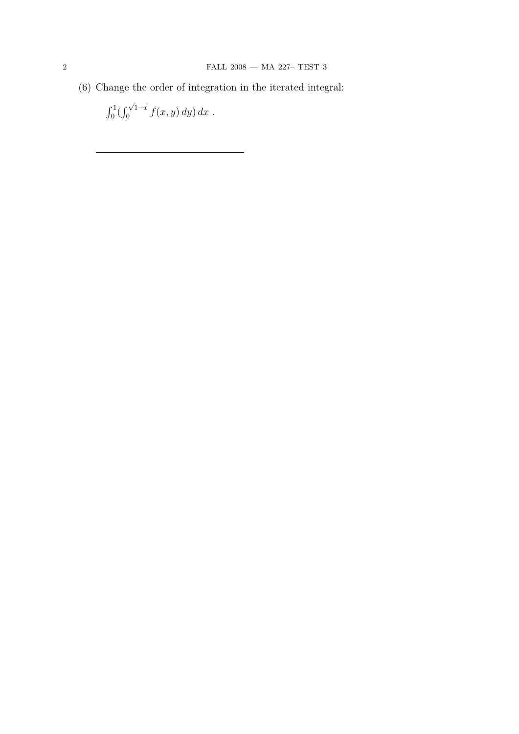(6) Change the order of integration in the iterated integral:

$$
\int_0^1 (\int_0^{\sqrt{1-x}} f(x, y) \, dy) \, dx \; .
$$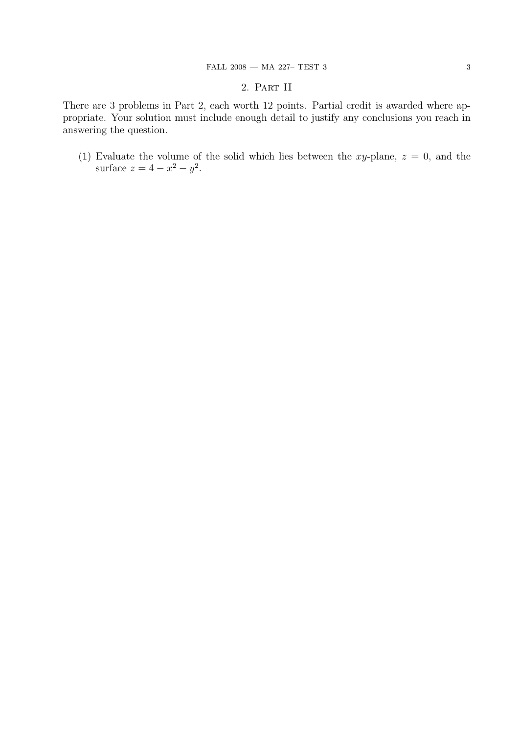## 2. Part II

There are 3 problems in Part 2, each worth 12 points. Partial credit is awarded where appropriate. Your solution must include enough detail to justify any conclusions you reach in answering the question.

(1) Evaluate the volume of the solid which lies between the xy-plane,  $z = 0$ , and the surface  $z = 4 - x^2 - y^2$ .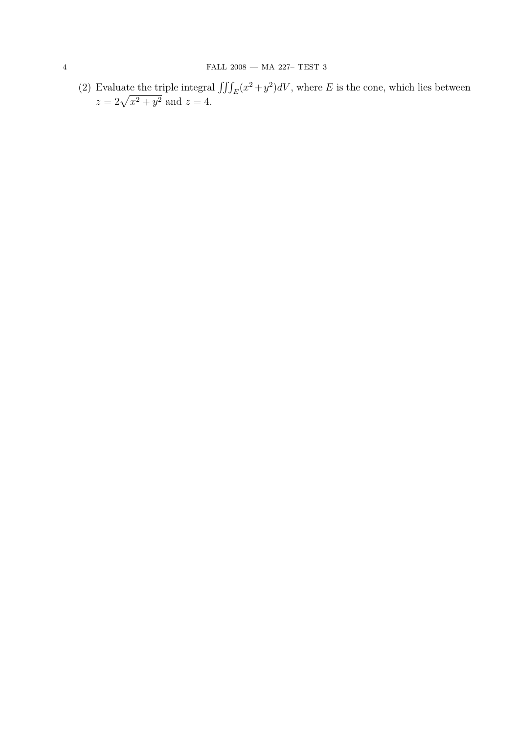(2) Evaluate the triple integral  $\iiint_E (x^2 + y^2) dV$ , where E is the cone, which lies between  $z = 2\sqrt{x^2 + y^2}$  and  $z = 4$ .